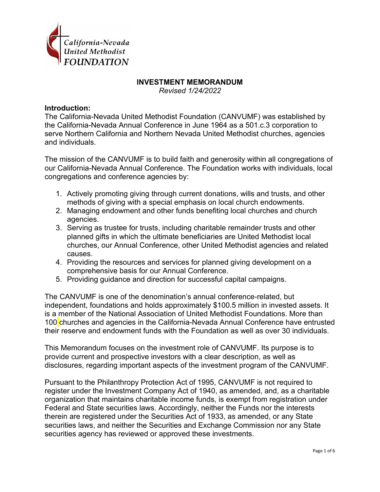

## **INVESTMENT MEMORANDUM**

*Revised 1/24/2022*

#### **Introduction:**

The California-Nevada United Methodist Foundation (CANVUMF) was established by the California-Nevada Annual Conference in June 1964 as a 501.c.3 corporation to serve Northern California and Northern Nevada United Methodist churches, agencies and individuals.

The mission of the CANVUMF is to build faith and generosity within all congregations of our California-Nevada Annual Conference. The Foundation works with individuals, local congregations and conference agencies by:

- 1. Actively promoting giving through current donations, wills and trusts, and other methods of giving with a special emphasis on local church endowments.
- 2. Managing endowment and other funds benefiting local churches and church agencies.
- 3. Serving as trustee for trusts, including charitable remainder trusts and other planned gifts in which the ultimate beneficiaries are United Methodist local churches, our Annual Conference, other United Methodist agencies and related causes.
- 4. Providing the resources and services for planned giving development on a comprehensive basis for our Annual Conference.
- 5. Providing guidance and direction for successful capital campaigns.

The CANVUMF is one of the denomination's annual conference-related, but independent, foundations and holds approximately \$100.5 million in invested assets. It is a member of the National Association of United Methodist Foundations. More than 100 churches and agencies in the California-Nevada Annual Conference have entrusted their reserve and endowment funds with the Foundation as well as over 30 individuals.

This Memorandum focuses on the investment role of CANVUMF. Its purpose is to provide current and prospective investors with a clear description, as well as disclosures, regarding important aspects of the investment program of the CANVUMF.

Pursuant to the Philanthropy Protection Act of 1995, CANVUMF is not required to register under the Investment Company Act of 1940, as amended, and, as a charitable organization that maintains charitable income funds, is exempt from registration under Federal and State securities laws. Accordingly, neither the Funds nor the interests therein are registered under the Securities Act of 1933, as amended, or any State securities laws, and neither the Securities and Exchange Commission nor any State securities agency has reviewed or approved these investments.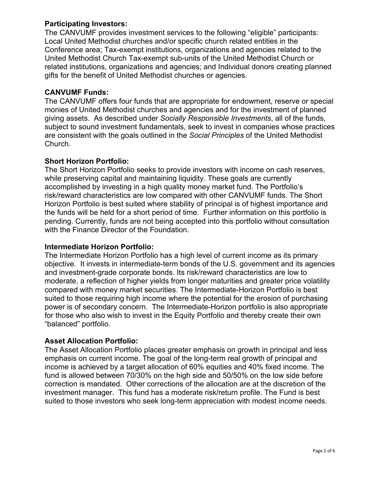# **Participating Investors:**

The CANVUMF provides investment services to the following "eligible" participants: Local United Methodist churches and/or specific church related entities in the Conference area; Tax-exempt institutions, organizations and agencies related to the United Methodist Church Tax-exempt sub-units of the United Methodist Church or related institutions, organizations and agencies; and Individual donors creating planned gifts for the benefit of United Methodist churches or agencies.

# **CANVUMF Funds:**

The CANVUMF offers four funds that are appropriate for endowment, reserve or special monies of United Methodist churches and agencies and for the investment of planned giving assets. As described under *Socially Responsible Investments*, all of the funds, subject to sound investment fundamentals, seek to invest in companies whose practices are consistent with the goals outlined in the *Social Principles* of the United Methodist Church*.*

# **Short Horizon Portfolio:**

The Short Horizon Portfolio seeks to provide investors with income on cash reserves, while preserving capital and maintaining liquidity. These goals are currently accomplished by investing in a high quality money market fund. The Portfolio's risk/reward characteristics are low compared with other CANVUMF funds. The Short Horizon Portfolio is best suited where stability of principal is of highest importance and the funds will be held for a short period of time. Further information on this portfolio is pending. Currently, funds are not being accepted into this portfolio without consultation with the Finance Director of the Foundation.

# **Intermediate Horizon Portfolio:**

The Intermediate Horizon Portfolio has a high level of current income as its primary objective. It invests in intermediate-term bonds of the U.S. government and its agencies and investment-grade corporate bonds. Its risk/reward characteristics are low to moderate, a reflection of higher yields from longer maturities and greater price volatility compared with money market securities. The Intermediate-Horizon Portfolio is best suited to those requiring high income where the potential for the erosion of purchasing power is of secondary concern. The Intermediate-Horizon portfolio is also appropriate for those who also wish to invest in the Equity Portfolio and thereby create their own "balanced" portfolio.

# **Asset Allocation Portfolio:**

The Asset Allocation Portfolio places greater emphasis on growth in principal and less emphasis on current income. The goal of the long-term real growth of principal and income is achieved by a target allocation of 60% equities and 40% fixed income. The fund is allowed between 70/30% on the high side and 50/50% on the low side before correction is mandated. Other corrections of the allocation are at the discretion of the investment manager. This fund has a moderate risk/return profile. The Fund is best suited to those investors who seek long-term appreciation with modest income needs.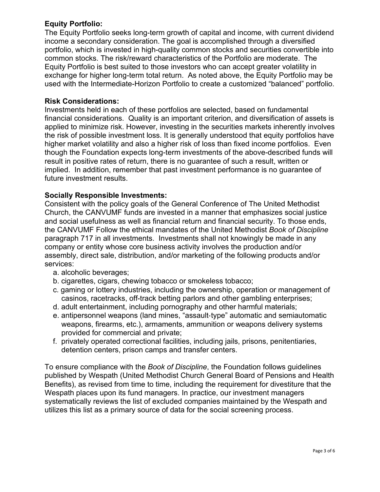# **Equity Portfolio:**

The Equity Portfolio seeks long-term growth of capital and income, with current dividend income a secondary consideration. The goal is accomplished through a diversified portfolio, which is invested in high-quality common stocks and securities convertible into common stocks. The risk/reward characteristics of the Portfolio are moderate. The Equity Portfolio is best suited to those investors who can accept greater volatility in exchange for higher long-term total return. As noted above, the Equity Portfolio may be used with the Intermediate-Horizon Portfolio to create a customized "balanced" portfolio.

## **Risk Considerations:**

Investments held in each of these portfolios are selected, based on fundamental financial considerations. Quality is an important criterion, and diversification of assets is applied to minimize risk. However, investing in the securities markets inherently involves the risk of possible investment loss. It is generally understood that equity portfolios have higher market volatility and also a higher risk of loss than fixed income portfolios. Even though the Foundation expects long-term investments of the above-described funds will result in positive rates of return, there is no guarantee of such a result, written or implied. In addition, remember that past investment performance is no guarantee of future investment results.

## **Socially Responsible Investments:**

Consistent with the policy goals of the General Conference of The United Methodist Church, the CANVUMF funds are invested in a manner that emphasizes social justice and social usefulness as well as financial return and financial security. To those ends, the CANVUMF Follow the ethical mandates of the United Methodist *Book of Discipline* paragraph 717 in all investments. Investments shall not knowingly be made in any company or entity whose core business activity involves the production and/or assembly, direct sale, distribution, and/or marketing of the following products and/or services:

- a. alcoholic beverages;
- b. cigarettes, cigars, chewing tobacco or smokeless tobacco;
- c. gaming or lottery industries, including the ownership, operation or management of casinos, racetracks, off-track betting parlors and other gambling enterprises;
- d. adult entertainment, including pornography and other harmful materials;
- e. antipersonnel weapons (land mines, "assault‐type" automatic and semiautomatic weapons, firearms, etc.), armaments, ammunition or weapons delivery systems provided for commercial and private;
- f. privately operated correctional facilities, including jails, prisons, penitentiaries, detention centers, prison camps and transfer centers.

To ensure compliance with the *Book of Discipline*, the Foundation follows guidelines published by Wespath (United Methodist Church General Board of Pensions and Health Benefits), as revised from time to time, including the requirement for divestiture that the Wespath places upon its fund managers. In practice, our investment managers systematically reviews the list of excluded companies maintained by the Wespath and utilizes this list as a primary source of data for the social screening process.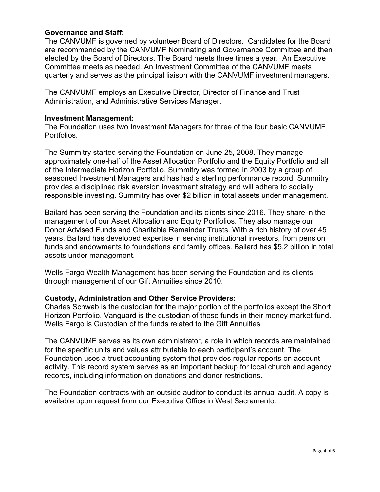## **Governance and Staff:**

The CANVUMF is governed by volunteer Board of Directors. Candidates for the Board are recommended by the CANVUMF Nominating and Governance Committee and then elected by the Board of Directors. The Board meets three times a year. An Executive Committee meets as needed. An Investment Committee of the CANVUMF meets quarterly and serves as the principal liaison with the CANVUMF investment managers.

The CANVUMF employs an Executive Director, Director of Finance and Trust Administration, and Administrative Services Manager.

#### **Investment Management:**

The Foundation uses two Investment Managers for three of the four basic CANVUMF Portfolios.

The Summitry started serving the Foundation on June 25, 2008. They manage approximately one-half of the Asset Allocation Portfolio and the Equity Portfolio and all of the Intermediate Horizon Portfolio. Summitry was formed in 2003 by a group of seasoned Investment Managers and has had a sterling performance record. Summitry provides a disciplined risk aversion investment strategy and will adhere to socially responsible investing. Summitry has over \$2 billion in total assets under management.

Bailard has been serving the Foundation and its clients since 2016. They share in the management of our Asset Allocation and Equity Portfolios. They also manage our Donor Advised Funds and Charitable Remainder Trusts. With a rich history of over 45 years, Bailard has developed expertise in serving institutional investors, from pension funds and endowments to foundations and family offices. Bailard has \$5.2 billion in total assets under management.

Wells Fargo Wealth Management has been serving the Foundation and its clients through management of our Gift Annuities since 2010.

#### **Custody, Administration and Other Service Providers:**

Charles Schwab is the custodian for the major portion of the portfolios except the Short Horizon Portfolio. Vanguard is the custodian of those funds in their money market fund. Wells Fargo is Custodian of the funds related to the Gift Annuities

The CANVUMF serves as its own administrator, a role in which records are maintained for the specific units and values attributable to each participant's account. The Foundation uses a trust accounting system that provides regular reports on account activity. This record system serves as an important backup for local church and agency records, including information on donations and donor restrictions.

The Foundation contracts with an outside auditor to conduct its annual audit. A copy is available upon request from our Executive Office in West Sacramento.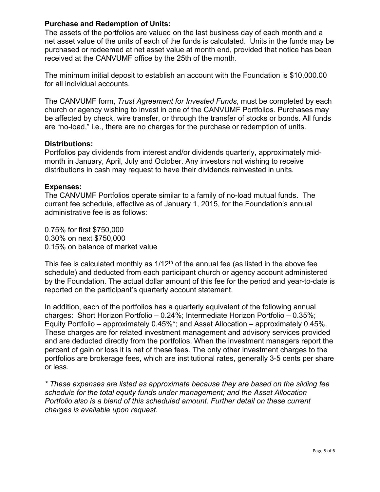## **Purchase and Redemption of Units:**

The assets of the portfolios are valued on the last business day of each month and a net asset value of the units of each of the funds is calculated. Units in the funds may be purchased or redeemed at net asset value at month end, provided that notice has been received at the CANVUMF office by the 25th of the month.

The minimum initial deposit to establish an account with the Foundation is \$10,000.00 for all individual accounts.

The CANVUMF form, *Trust Agreement for Invested Funds*, must be completed by each church or agency wishing to invest in one of the CANVUMF Portfolios. Purchases may be affected by check, wire transfer, or through the transfer of stocks or bonds. All funds are "no-load," i.e., there are no charges for the purchase or redemption of units.

#### **Distributions:**

Portfolios pay dividends from interest and/or dividends quarterly, approximately midmonth in January, April, July and October. Any investors not wishing to receive distributions in cash may request to have their dividends reinvested in units.

#### **Expenses:**

The CANVUMF Portfolios operate similar to a family of no-load mutual funds. The current fee schedule, effective as of January 1, 2015, for the Foundation's annual administrative fee is as follows:

0.75% for first \$750,000 0.30% on next \$750,000 0.15% on balance of market value

This fee is calculated monthly as  $1/12<sup>th</sup>$  of the annual fee (as listed in the above fee schedule) and deducted from each participant church or agency account administered by the Foundation. The actual dollar amount of this fee for the period and year-to-date is reported on the participant's quarterly account statement.

In addition, each of the portfolios has a quarterly equivalent of the following annual charges: Short Horizon Portfolio – 0.24%; Intermediate Horizon Portfolio – 0.35%; Equity Portfolio – approximately 0.45%\*; and Asset Allocation – approximately 0.45%. These charges are for related investment management and advisory services provided and are deducted directly from the portfolios. When the investment managers report the percent of gain or loss it is net of these fees. The only other investment charges to the portfolios are brokerage fees, which are institutional rates, generally 3-5 cents per share or less.

*\* These expenses are listed as approximate because they are based on the sliding fee schedule for the total equity funds under management; and the Asset Allocation Portfolio also is a blend of this scheduled amount. Further detail on these current charges is available upon request.*